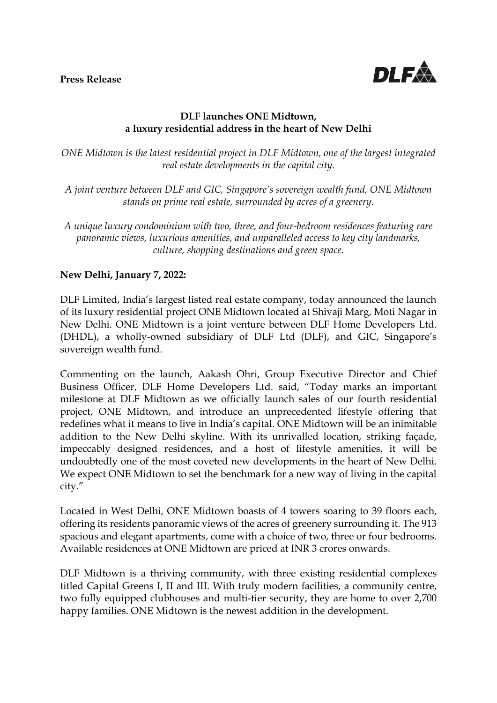

## **DLF launches ONE Midtown, a luxury residential address in the heart of New Delhi**

*ONE Midtown is the latest residential project in DLF Midtown, one of the largest integrated real estate developments in the capital city.*

- *A joint venture between DLF and GIC, Singapore's sovereign wealth fund, ONE Midtown stands on prime real estate, surrounded by acres of a greenery.*
- *A unique luxury condominium with two, three, and four-bedroom residences featuring rare panoramic views, luxurious amenities, and unparalleled access to key city landmarks, culture, shopping destinations and green space.*

## **New Delhi, January 7, 2022:**

DLF Limited, India's largest listed real estate company, today announced the launch of its luxury residential project ONE Midtown located at Shivaji Marg, Moti Nagar in New Delhi. ONE Midtown is a joint venture between DLF Home Developers Ltd. (DHDL), a wholly-owned subsidiary of DLF Ltd (DLF), and GIC, Singapore's sovereign wealth fund.

Commenting on the launch, Aakash Ohri, Group Executive Director and Chief Business Officer, DLF Home Developers Ltd. said, "Today marks an important milestone at DLF Midtown as we officially launch sales of our fourth residential project, ONE Midtown, and introduce an unprecedented lifestyle offering that redefines what it means to live in India's capital. ONE Midtown will be an inimitable addition to the New Delhi skyline. With its unrivalled location, striking façade, impeccably designed residences, and a host of lifestyle amenities, it will be undoubtedly one of the most coveted new developments in the heart of New Delhi. We expect ONE Midtown to set the benchmark for a new way of living in the capital city."

Located in West Delhi, ONE Midtown boasts of 4 towers soaring to 39 floors each, offering its residents panoramic views of the acres of greenery surrounding it. The 913 spacious and elegant apartments, come with a choice of two, three or four bedrooms. Available residences at ONE Midtown are priced at INR 3 crores onwards.

DLF Midtown is a thriving community, with three existing residential complexes titled Capital Greens I, II and III. With truly modern facilities, a community centre, two fully equipped clubhouses and multi-tier security, they are home to over 2,700 happy families. ONE Midtown is the newest addition in the development.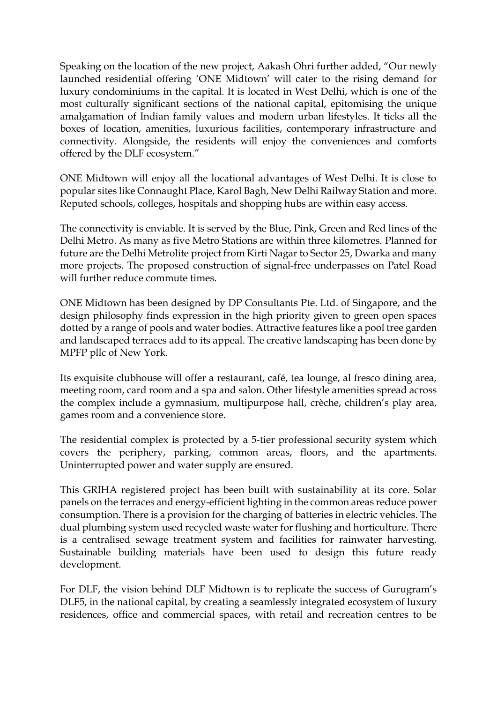Speaking on the location of the new project, Aakash Ohri further added, "Our newly launched residential offering 'ONE Midtown' will cater to the rising demand for luxury condominiums in the capital. It is located in West Delhi, which is one of the most culturally significant sections of the national capital, epitomising the unique amalgamation of Indian family values and modern urban lifestyles. It ticks all the boxes of location, amenities, luxurious facilities, contemporary infrastructure and connectivity. Alongside, the residents will enjoy the conveniences and comforts offered by the DLF ecosystem."

ONE Midtown will enjoy all the locational advantages of West Delhi. It is close to popular sites like Connaught Place, Karol Bagh, New Delhi Railway Station and more. Reputed schools, colleges, hospitals and shopping hubs are within easy access.

The connectivity is enviable. It is served by the Blue, Pink, Green and Red lines of the Delhi Metro. As many as five Metro Stations are within three kilometres. Planned for future are the Delhi Metrolite project from Kirti Nagar to Sector 25, Dwarka and many more projects. The proposed construction of signal-free underpasses on Patel Road will further reduce commute times.

ONE Midtown has been designed by DP Consultants Pte. Ltd. of Singapore, and the design philosophy finds expression in the high priority given to green open spaces dotted by a range of pools and water bodies. Attractive features like a pool tree garden and landscaped terraces add to its appeal. The creative landscaping has been done by MPFP pllc of New York.

Its exquisite clubhouse will offer a restaurant, café, tea lounge, al fresco dining area, meeting room, card room and a spa and salon. Other lifestyle amenities spread across the complex include a gymnasium, multipurpose hall, crèche, children's play area, games room and a convenience store.

The residential complex is protected by a 5-tier professional security system which covers the periphery, parking, common areas, floors, and the apartments. Uninterrupted power and water supply are ensured.

This GRIHA registered project has been built with sustainability at its core. Solar panels on the terraces and energy-efficient lighting in the common areas reduce power consumption. There is a provision for the charging of batteries in electric vehicles. The dual plumbing system used recycled waste water for flushing and horticulture. There is a centralised sewage treatment system and facilities for rainwater harvesting. Sustainable building materials have been used to design this future ready development.

For DLF, the vision behind DLF Midtown is to replicate the success of Gurugram's DLF5, in the national capital, by creating a seamlessly integrated ecosystem of luxury residences, office and commercial spaces, with retail and recreation centres to be